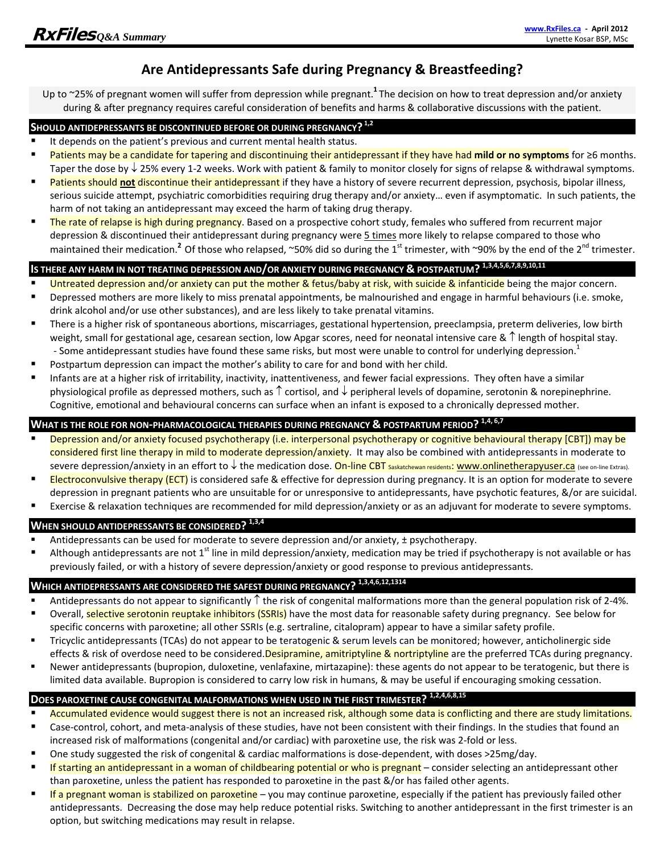## **Are Antidepressants Safe during Pregnancy & Breastfeeding?**

Up to ~25% of pregnant women will suffer from depression while pregnant.**<sup>1</sup>** The decision on how to treat depression and/or anxiety during & after pregnancy requires careful consideration of benefits and harms & collaborative discussions with the patient.

### **SHOULD ANTIDEPRESSANTS BE DISCONTINUED BEFORE OR DURING PREGNANCY? 1,2**

- It depends on the patient's previous and current mental health status.
- Patients may be a candidate for tapering and discontinuing their antidepressant if they have had **mild or no symptoms** for ≥6 months. Taper the dose by  $\downarrow$  25% every 1-2 weeks. Work with patient & family to monitor closely for signs of relapse & withdrawal symptoms.
- **Patients should not discontinue their antidepressant if** they have a history of severe recurrent depression, psychosis, bipolar illness, serious suicide attempt, psychiatric comorbidities requiring drug therapy and/or anxiety… even if asymptomatic. In such patients, the harm of not taking an antidepressant may exceed the harm of taking drug therapy.
- **The rate of relapse is high during pregnancy**. Based on a prospective cohort study, females who suffered from recurrent major depression & discontinued their antidepressant during pregnancy were 5 times more likely to relapse compared to those who maintained their medication.<sup>2</sup> Of those who relapsed, ~50% did so during the 1<sup>st</sup> trimester, with ~90% by the end of the 2<sup>nd</sup> trimester.

# **IS THERE ANY HARM IN NOT TREATING DEPRESSION AND/OR ANXIETY DURING PREGNANCY & POSTPARTUM? 1,3,4,5,6,7,8,9,10,11**

- Untreated depression and/or anxiety can put the mother & fetus/baby at risk, with suicide & infanticide being the major concern.
- Depressed mothers are more likely to miss prenatal appointments, be malnourished and engage in harmful behaviours (i.e. smoke, drink alcohol and/or use other substances), and are less likely to take prenatal vitamins.
- **There is a higher risk of spontaneous abortions, miscarriages, gestational hypertension, preeclampsia, preterm deliveries, low birth** weight, small for gestational age, cesarean section, low Apgar scores, need for neonatal intensive care &  $\uparrow$  length of hospital stay. - Some antidepressant studies have found these same risks, but most were unable to control for underlying depression.<sup>1</sup>
- **Postpartum depression can impact the mother's ability to care for and bond with her child.**
- Infants are at a higher risk of irritability, inactivity, inattentiveness, and fewer facial expressions. They often have a similar physiological profile as depressed mothers, such as  $\uparrow$  cortisol, and  $\downarrow$  peripheral levels of dopamine, serotonin & norepinephrine. Cognitive, emotional and behavioural concerns can surface when an infant is exposed to a chronically depressed mother.

#### **WHAT IS THE ROLE FOR NON‐PHARMACOLOGICAL THERAPIES DURING PREGNANCY & POSTPARTUM PERIOD? 1,4, 6,7**

- Depression and/or anxiety focused psychotherapy (i.e. interpersonal psychotherapy or cognitive behavioural therapy [CBT]) may be considered first line therapy in mild to moderate depression/anxiety. It may also be combined with antidepressants in moderate to severe depression/anxiety in an effort to ↓ the medication dose. <mark>On-line CBT saskatchewan residents: www.onlinetherapyuser.ca</mark> (see on-line Extras).
- Electroconvulsive therapy (ECT) is considered safe & effective for depression during pregnancy. It is an option for moderate to severe depression in pregnant patients who are unsuitable for or unresponsive to antidepressants, have psychotic features, &/or are suicidal.
- Exercise & relaxation techniques are recommended for mild depression/anxiety or as an adjuvant for moderate to severe symptoms.

### **WHEN SHOULD ANTIDEPRESSANTS BE CONSIDERED? 1,3,4**

- Antidepressants can be used for moderate to severe depression and/or anxiety, ± psychotherapy.
- Although antidepressants are not  $1<sup>st</sup>$  line in mild depression/anxiety, medication may be tried if psychotherapy is not available or has previously failed, or with a history of severe depression/anxiety or good response to previous antidepressants.

## **WHICH ANTIDEPRESSANTS ARE CONSIDERED THE SAFEST DURING PREGNANCY? 1,3,4,6,12,1314**

- Antidepressants do not appear to significantly  $\uparrow$  the risk of congenital malformations more than the general population risk of 2-4%.
- Overall, selective serotonin reuptake inhibitors (SSRIs) have the most data for reasonable safety during pregnancy. See below for specific concerns with paroxetine; all other SSRIs (e.g. sertraline, citalopram) appear to have a similar safety profile.
- Tricyclic antidepressants (TCAs) do not appear to be teratogenic & serum levels can be monitored; however, anticholinergic side effects & risk of overdose need to be considered. Desipramine, amitriptyline & nortriptyline are the preferred TCAs during pregnancy.
- Newer antidepressants (bupropion, duloxetine, venlafaxine, mirtazapine): these agents do not appear to be teratogenic, but there is limited data available. Bupropion is considered to carry low risk in humans, & may be useful if encouraging smoking cessation.

## **DOES PAROXETINE CAUSE CONGENITAL MALFORMATIONS WHEN USED IN THE FIRST TRIMESTER? 1,2,4,6,8,15**

- Accumulated evidence would suggest there is not an increased risk, although some data is conflicting and there are study limitations.
- Case‐control, cohort, and meta‐analysis of these studies, have not been consistent with their findings. In the studies that found an increased risk of malformations (congenital and/or cardiac) with paroxetine use, the risk was 2‐fold or less.
- One study suggested the risk of congenital & cardiac malformations is dose-dependent, with doses >25mg/day.
- **If starting an antidepressant in a woman of childbearing potential or who is pregnant** consider selecting an antidepressant other than paroxetine, unless the patient has responded to paroxetine in the past &/or has failed other agents.
- If a pregnant woman is stabilized on paroxetine you may continue paroxetine, especially if the patient has previously failed other antidepressants. Decreasing the dose may help reduce potential risks. Switching to another antidepressant in the first trimester is an option, but switching medications may result in relapse.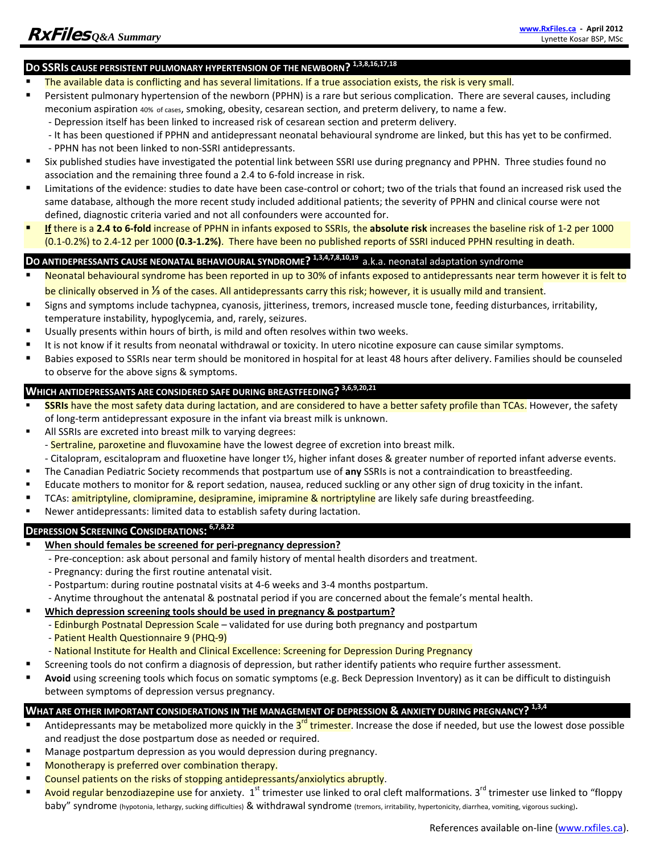## **DO SSRIS CAUSE PERSISTENT PULMONARY HYPERTENSION OF THE NEWBORN? 1,3,8,16,17,18**

- The available data is conflicting and has several limitations. If a true association exists, the risk is very small.
- Persistent pulmonary hypertension of the newborn (PPHN) is a rare but serious complication. There are several causes, including meconium aspiration 40% of cases, smoking, obesity, cesarean section, and preterm delivery, to name a few.
	- ‐ Depression itself has been linked to increased risk of cesarean section and preterm delivery.
	- ‐ It has been questioned if PPHN and antidepressant neonatal behavioural syndrome are linked, but this has yet to be confirmed. ‐ PPHN has not been linked to non‐SSRI antidepressants.
- Six published studies have investigated the potential link between SSRI use during pregnancy and PPHN. Three studies found no association and the remaining three found a 2.4 to 6‐fold increase in risk.
- Limitations of the evidence: studies to date have been case‐control or cohort; two of the trials that found an increased risk used the same database, although the more recent study included additional patients; the severity of PPHN and clinical course were not defined, diagnostic criteria varied and not all confounders were accounted for.
- **If** there is a **2.4 to 6‐fold** increase of PPHN in infants exposed to SSRIs, the **absolute risk** increases the baseline risk of 1‐2 per 1000 (0.1‐0.2%) to 2.4‐12 per 1000 **(0.3‐1.2%)**. There have been no published reports of SSRI induced PPHN resulting in death.

#### **DO ANTIDEPRESSANTS CAUSE NEONATAL BEHAVIOURAL SYNDROME? 1,3,4,7,8,10,19** a.k.a. neonatal adaptation syndrome

- Neonatal behavioural syndrome has been reported in up to 30% of infants exposed to antidepressants near term however it is felt to be clinically observed in <sup>1/</sup><sub>3</sub> of the cases. All antidepressants carry this risk; however, it is usually mild and transient.
- Signs and symptoms include tachypnea, cyanosis, jitteriness, tremors, increased muscle tone, feeding disturbances, irritability, temperature instability, hypoglycemia, and, rarely, seizures.
- Usually presents within hours of birth, is mild and often resolves within two weeks.
- It is not know if it results from neonatal withdrawal or toxicity. In utero nicotine exposure can cause similar symptoms.
- Babies exposed to SSRIs near term should be monitored in hospital for at least 48 hours after delivery. Families should be counseled to observe for the above signs & symptoms.

### **WHICH ANTIDEPRESSANTS ARE CONSIDERED SAFE DURING BREASTFEEDING? 3,6,9,20,21**

- **SSRIs** have the most safety data during lactation, and are considered to have a better safety profile than TCAs. However, the safety of long‐term antidepressant exposure in the infant via breast milk is unknown.
- All SSRIs are excreted into breast milk to varying degrees:
	- Sertraline, paroxetine and fluvoxamine have the lowest degree of excretion into breast milk.
- ‐ Citalopram, escitalopram and fluoxetine have longer t½, higher infant doses & greater number of reported infant adverse events.
- The Canadian Pediatric Society recommends that postpartum use of **any** SSRIs is not a contraindication to breastfeeding.
- Educate mothers to monitor for & report sedation, nausea, reduced suckling or any other sign of drug toxicity in the infant.
- **TCAs: amitriptyline, clomipramine, desipramine, imipramine & nortriptyline** are likely safe during breastfeeding.
- Newer antidepressants: limited data to establish safety during lactation.

#### **DEPRESSION SCREENING CONSIDERATIONS: 6,7,8,22**

- **When should females be screened for peri‐pregnancy depression?**
	- ‐ Pre‐conception: ask about personal and family history of mental health disorders and treatment.
		- ‐ Pregnancy: during the first routine antenatal visit.
		- ‐ Postpartum: during routine postnatal visits at 4‐6 weeks and 3‐4 months postpartum.
		- ‐ Anytime throughout the antenatal & postnatal period if you are concerned about the female's mental health.
- **Which depression screening tools should be used in pregnancy & postpartum?**
	- Edinburgh Postnatal Depression Scale validated for use during both pregnancy and postpartum
	- ‐ Patient Health Questionnaire 9 (PHQ‐9)
	- ‐ National Institute for Health and Clinical Excellence: Screening for Depression During Pregnancy
- Screening tools do not confirm a diagnosis of depression, but rather identify patients who require further assessment.
- **Avoid** using screening tools which focus on somatic symptoms (e.g. Beck Depression Inventory) as it can be difficult to distinguish between symptoms of depression versus pregnancy.

#### **WHAT ARE OTHER IMPORTANT CONSIDERATIONS IN THE MANAGEMENT OF DEPRESSION & ANXIETY DURING PREGNANCY? 1,3,4**

- Antidepressants may be metabolized more quickly in the  $3^{rd}$  trimester. Increase the dose if needed, but use the lowest dose possible and readjust the dose postpartum dose as needed or required.
- Manage postpartum depression as you would depression during pregnancy.
- **Monotherapy is preferred over combination therapy.**
- Counsel patients on the risks of stopping antidepressants/anxiolytics abruptly.
- Avoid regular benzodiazepine use for anxiety. 1<sup>st</sup> trimester use linked to oral cleft malformations. 3<sup>rd</sup> trimester use linked to "floppy baby" syndrome (hypotonia, lethargy, sucking difficulties) & withdrawal syndrome (tremors, irritability, hypertonicity, diarrhea, vomiting, vigorous sucking).